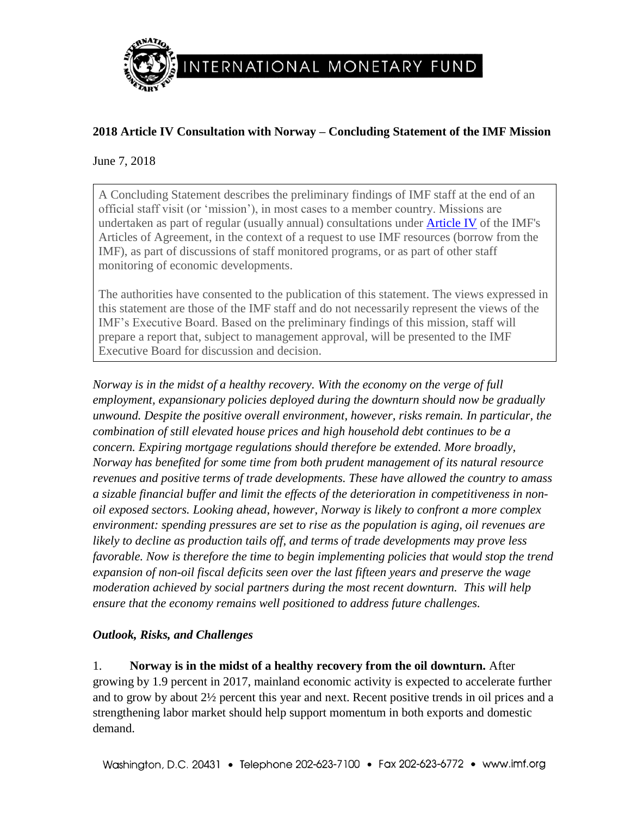

# **2018 Article IV Consultation with Norway – Concluding Statement of the IMF Mission**

June 7, 2018

A Concluding Statement describes the preliminary findings of IMF staff at the end of an official staff visit (or 'mission'), in most cases to a member country. Missions are undertaken as part of regular (usually annual) consultations under [Article IV](http://www.imf.org/external/pubs/ft/aa/aa04.htm) of the IMF's Articles of Agreement, in the context of a request to use IMF resources (borrow from the IMF), as part of discussions of staff monitored programs, or as part of other staff monitoring of economic developments.

The authorities have consented to the publication of this statement. The views expressed in this statement are those of the IMF staff and do not necessarily represent the views of the IMF's Executive Board. Based on the preliminary findings of this mission, staff will prepare a report that, subject to management approval, will be presented to the IMF Executive Board for discussion and decision.

*Norway is in the midst of a healthy recovery. With the economy on the verge of full employment, expansionary policies deployed during the downturn should now be gradually unwound. Despite the positive overall environment, however, risks remain. In particular, the combination of still elevated house prices and high household debt continues to be a concern. Expiring mortgage regulations should therefore be extended. More broadly, Norway has benefited for some time from both prudent management of its natural resource revenues and positive terms of trade developments. These have allowed the country to amass a sizable financial buffer and limit the effects of the deterioration in competitiveness in nonoil exposed sectors. Looking ahead, however, Norway is likely to confront a more complex environment: spending pressures are set to rise as the population is aging, oil revenues are likely to decline as production tails off, and terms of trade developments may prove less favorable. Now is therefore the time to begin implementing policies that would stop the trend expansion of non-oil fiscal deficits seen over the last fifteen years and preserve the wage moderation achieved by social partners during the most recent downturn. This will help ensure that the economy remains well positioned to address future challenges.*

## *Outlook, Risks, and Challenges*

1. **Norway is in the midst of a healthy recovery from the oil downturn.** After growing by 1.9 percent in 2017, mainland economic activity is expected to accelerate further and to grow by about 2½ percent this year and next. Recent positive trends in oil prices and a strengthening labor market should help support momentum in both exports and domestic demand.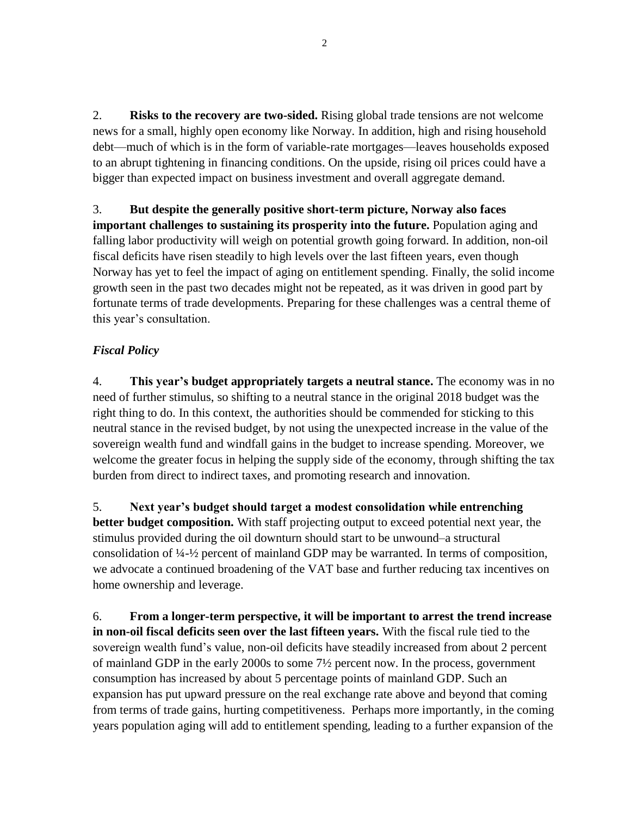2. **Risks to the recovery are two-sided.** Rising global trade tensions are not welcome news for a small, highly open economy like Norway. In addition, high and rising household debt—much of which is in the form of variable-rate mortgages—leaves households exposed to an abrupt tightening in financing conditions. On the upside, rising oil prices could have a bigger than expected impact on business investment and overall aggregate demand.

3. **But despite the generally positive short-term picture, Norway also faces important challenges to sustaining its prosperity into the future.** Population aging and falling labor productivity will weigh on potential growth going forward. In addition, non-oil fiscal deficits have risen steadily to high levels over the last fifteen years, even though Norway has yet to feel the impact of aging on entitlement spending. Finally, the solid income growth seen in the past two decades might not be repeated, as it was driven in good part by fortunate terms of trade developments. Preparing for these challenges was a central theme of this year's consultation.

#### *Fiscal Policy*

4. **This year's budget appropriately targets a neutral stance.** The economy was in no need of further stimulus, so shifting to a neutral stance in the original 2018 budget was the right thing to do. In this context, the authorities should be commended for sticking to this neutral stance in the revised budget, by not using the unexpected increase in the value of the sovereign wealth fund and windfall gains in the budget to increase spending. Moreover, we welcome the greater focus in helping the supply side of the economy, through shifting the tax burden from direct to indirect taxes, and promoting research and innovation.

5. **Next year's budget should target a modest consolidation while entrenching better budget composition.** With staff projecting output to exceed potential next year, the stimulus provided during the oil downturn should start to be unwound–a structural consolidation of ¼-½ percent of mainland GDP may be warranted. In terms of composition, we advocate a continued broadening of the VAT base and further reducing tax incentives on home ownership and leverage.

6. **From a longer-term perspective, it will be important to arrest the trend increase in non-oil fiscal deficits seen over the last fifteen years.** With the fiscal rule tied to the sovereign wealth fund's value, non-oil deficits have steadily increased from about 2 percent of mainland GDP in the early 2000s to some 7½ percent now. In the process, government consumption has increased by about 5 percentage points of mainland GDP. Such an expansion has put upward pressure on the real exchange rate above and beyond that coming from terms of trade gains, hurting competitiveness. Perhaps more importantly, in the coming years population aging will add to entitlement spending, leading to a further expansion of the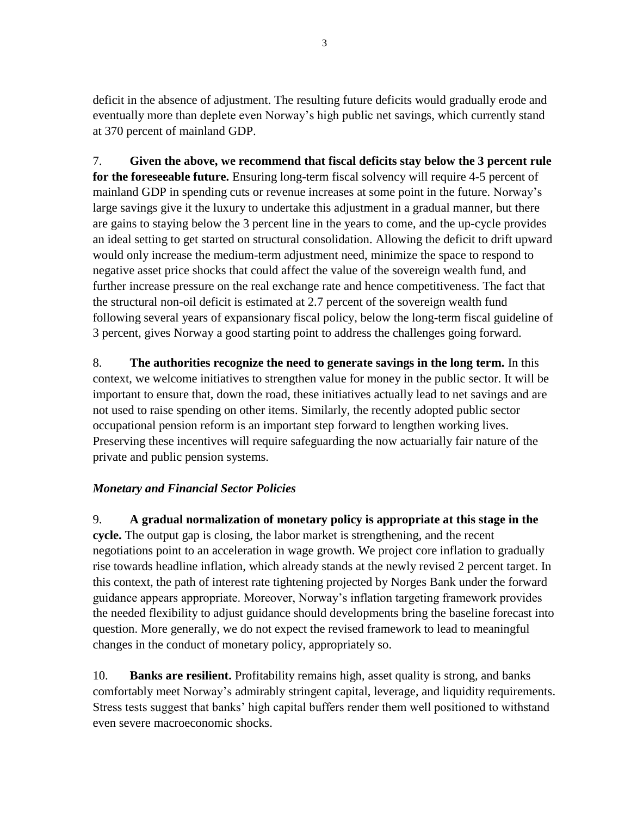deficit in the absence of adjustment. The resulting future deficits would gradually erode and eventually more than deplete even Norway's high public net savings, which currently stand at 370 percent of mainland GDP.

7. **Given the above, we recommend that fiscal deficits stay below the 3 percent rule for the foreseeable future.** Ensuring long-term fiscal solvency will require 4-5 percent of mainland GDP in spending cuts or revenue increases at some point in the future. Norway's large savings give it the luxury to undertake this adjustment in a gradual manner, but there are gains to staying below the 3 percent line in the years to come, and the up-cycle provides an ideal setting to get started on structural consolidation. Allowing the deficit to drift upward would only increase the medium-term adjustment need, minimize the space to respond to negative asset price shocks that could affect the value of the sovereign wealth fund, and further increase pressure on the real exchange rate and hence competitiveness. The fact that the structural non-oil deficit is estimated at 2.7 percent of the sovereign wealth fund following several years of expansionary fiscal policy, below the long-term fiscal guideline of 3 percent, gives Norway a good starting point to address the challenges going forward.

8. **The authorities recognize the need to generate savings in the long term.** In this context, we welcome initiatives to strengthen value for money in the public sector. It will be important to ensure that, down the road, these initiatives actually lead to net savings and are not used to raise spending on other items. Similarly, the recently adopted public sector occupational pension reform is an important step forward to lengthen working lives. Preserving these incentives will require safeguarding the now actuarially fair nature of the private and public pension systems.

## *Monetary and Financial Sector Policies*

9. **A gradual normalization of monetary policy is appropriate at this stage in the cycle.** The output gap is closing, the labor market is strengthening, and the recent negotiations point to an acceleration in wage growth. We project core inflation to gradually rise towards headline inflation, which already stands at the newly revised 2 percent target. In this context, the path of interest rate tightening projected by Norges Bank under the forward guidance appears appropriate. Moreover, Norway's inflation targeting framework provides the needed flexibility to adjust guidance should developments bring the baseline forecast into question. More generally, we do not expect the revised framework to lead to meaningful changes in the conduct of monetary policy, appropriately so.

10. **Banks are resilient.** Profitability remains high, asset quality is strong, and banks comfortably meet Norway's admirably stringent capital, leverage, and liquidity requirements. Stress tests suggest that banks' high capital buffers render them well positioned to withstand even severe macroeconomic shocks.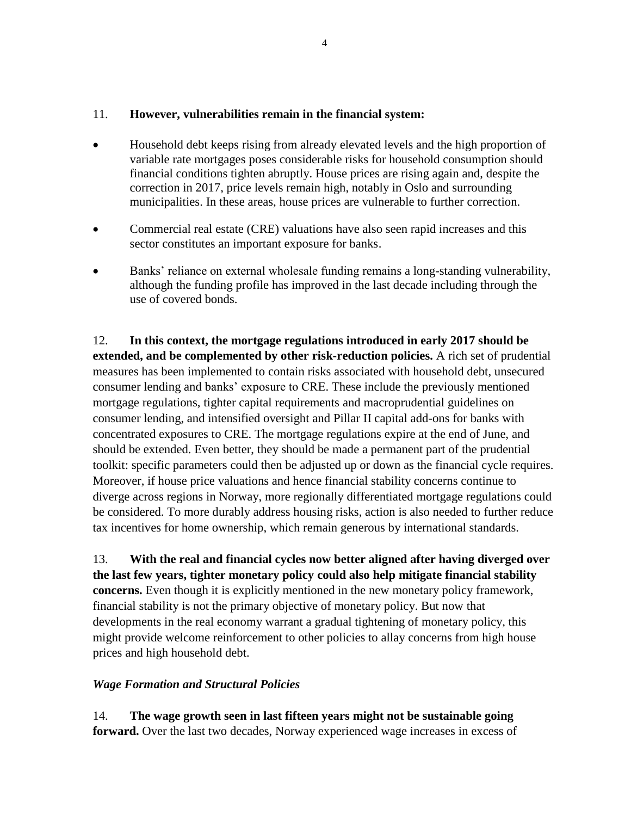#### 11. **However, vulnerabilities remain in the financial system:**

- Household debt keeps rising from already elevated levels and the high proportion of variable rate mortgages poses considerable risks for household consumption should financial conditions tighten abruptly. House prices are rising again and, despite the correction in 2017, price levels remain high, notably in Oslo and surrounding municipalities. In these areas, house prices are vulnerable to further correction.
- Commercial real estate (CRE) valuations have also seen rapid increases and this sector constitutes an important exposure for banks.
- Banks' reliance on external wholesale funding remains a long-standing vulnerability, although the funding profile has improved in the last decade including through the use of covered bonds.

12. **In this context, the mortgage regulations introduced in early 2017 should be extended, and be complemented by other risk-reduction policies.** A rich set of prudential measures has been implemented to contain risks associated with household debt, unsecured consumer lending and banks' exposure to CRE. These include the previously mentioned mortgage regulations, tighter capital requirements and macroprudential guidelines on consumer lending, and intensified oversight and Pillar II capital add-ons for banks with concentrated exposures to CRE. The mortgage regulations expire at the end of June, and should be extended. Even better, they should be made a permanent part of the prudential toolkit: specific parameters could then be adjusted up or down as the financial cycle requires. Moreover, if house price valuations and hence financial stability concerns continue to diverge across regions in Norway, more regionally differentiated mortgage regulations could be considered. To more durably address housing risks, action is also needed to further reduce tax incentives for home ownership, which remain generous by international standards.

13. **With the real and financial cycles now better aligned after having diverged over the last few years, tighter monetary policy could also help mitigate financial stability concerns.** Even though it is explicitly mentioned in the new monetary policy framework, financial stability is not the primary objective of monetary policy. But now that developments in the real economy warrant a gradual tightening of monetary policy, this might provide welcome reinforcement to other policies to allay concerns from high house prices and high household debt.

#### *Wage Formation and Structural Policies*

14. **The wage growth seen in last fifteen years might not be sustainable going forward.** Over the last two decades, Norway experienced wage increases in excess of